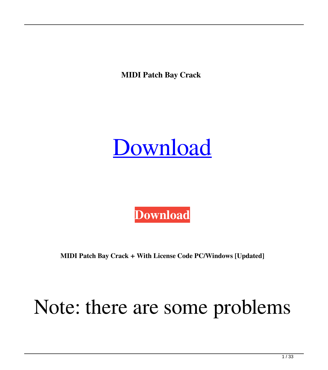**MIDI Patch Bay Crack** 

## [Download](http://evacdir.com/behaved/cheetahs?oligarchy=/heretics/ZG93bmxvYWR8MnFTTkhCdk5YeDhNVFkxTkRRek5qWTFPSHg4TWpVNU1IeDhLRTBwSUZkdmNtUndjbVZ6Y3lCYldFMU1VbEJESUZZeUlGQkVSbDA/shearing/determined/turin/TUlESSBQYXRjaCBCYXkTUl/)



**MIDI Patch Bay Crack + With License Code PC/Windows [Updated]**

## Note: there are some problems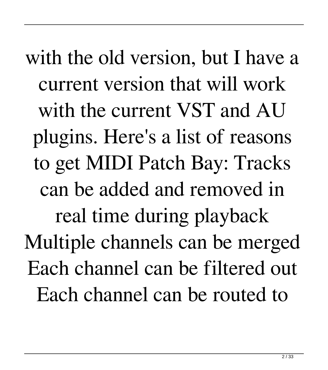with the old version, but I have a current version that will work with the current VST and AU plugins. Here's a list of reasons to get MIDI Patch Bay: Tracks can be added and removed in real time during playback Multiple channels can be merged Each channel can be filtered out Each channel can be routed to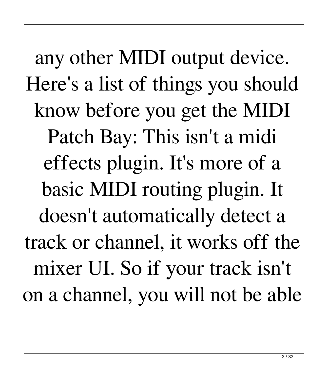any other MIDI output device. Here's a list of things you should know before you get the MIDI Patch Bay: This isn't a midi effects plugin. It's more of a basic MIDI routing plugin. It doesn't automatically detect a track or channel, it works off the mixer UI. So if your track isn't on a channel, you will not be able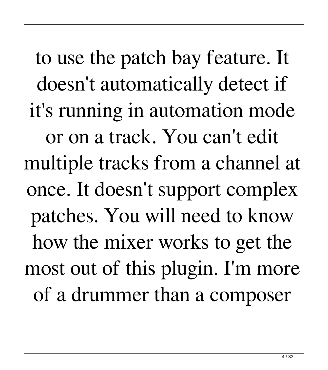to use the patch bay feature. It doesn't automatically detect if it's running in automation mode or on a track. You can't edit multiple tracks from a channel at once. It doesn't support complex patches. You will need to know how the mixer works to get the most out of this plugin. I'm more of a drummer than a composer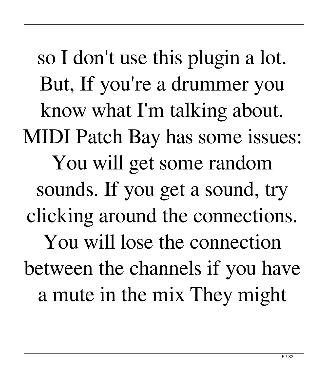so I don't use this plugin a lot. But, If you're a drummer you know what I'm talking about. MIDI Patch Bay has some issues: You will get some random sounds. If you get a sound, try clicking around the connections. You will lose the connection between the channels if you have a mute in the mix They might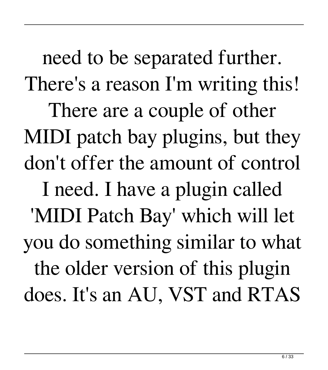need to be separated further. There's a reason I'm writing this! There are a couple of other MIDI patch bay plugins, but they don't offer the amount of control I need. I have a plugin called 'MIDI Patch Bay' which will let you do something similar to what the older version of this plugin does. It's an AU, VST and RTAS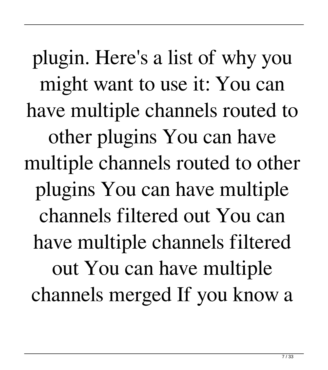plugin. Here's a list of why you might want to use it: You can have multiple channels routed to other plugins You can have multiple channels routed to other plugins You can have multiple channels filtered out You can have multiple channels filtered out You can have multiple channels merged If you know a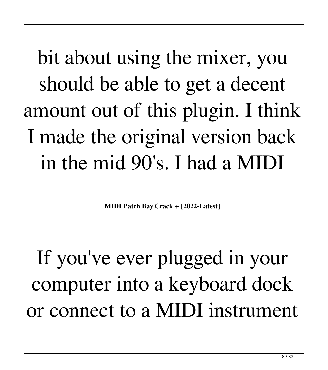bit about using the mixer, you should be able to get a decent amount out of this plugin. I think I made the original version back in the mid 90's. I had a MIDI

**MIDI Patch Bay Crack + [2022-Latest]**

If you've ever plugged in your computer into a keyboard dock or connect to a MIDI instrument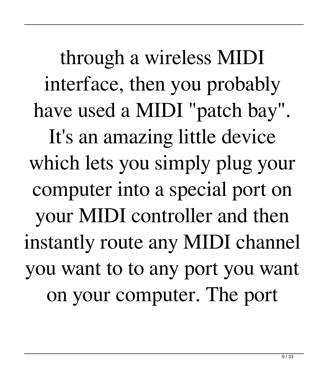through a wireless MIDI interface, then you probably have used a MIDI "patch bay". It's an amazing little device which lets you simply plug your computer into a special port on your MIDI controller and then instantly route any MIDI channel you want to to any port you want on your computer. The port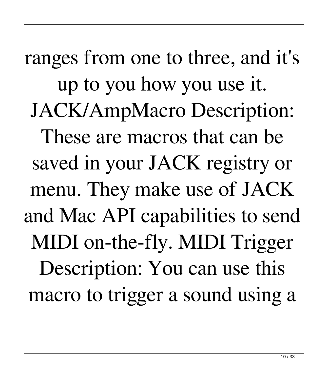ranges from one to three, and it's up to you how you use it. JACK/AmpMacro Description: These are macros that can be saved in your JACK registry or menu. They make use of JACK and Mac API capabilities to send MIDI on-the-fly. MIDI Trigger Description: You can use this macro to trigger a sound using a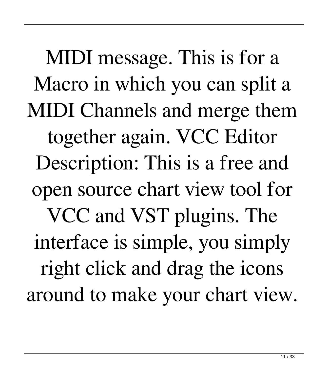MIDI message. This is for a Macro in which you can split a MIDI Channels and merge them together again. VCC Editor Description: This is a free and open source chart view tool for VCC and VST plugins. The interface is simple, you simply right click and drag the icons around to make your chart view.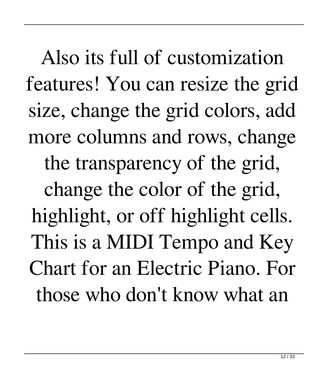Also its full of customization features! You can resize the grid size, change the grid colors, add more columns and rows, change the transparency of the grid, change the color of the grid, highlight, or off highlight cells. This is a MIDI Tempo and Key Chart for an Electric Piano. For those who don't know what an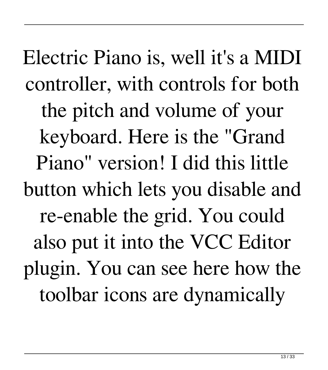Electric Piano is, well it's a MIDI controller, with controls for both the pitch and volume of your keyboard. Here is the "Grand Piano" version! I did this little button which lets you disable and re-enable the grid. You could also put it into the VCC Editor plugin. You can see here how the toolbar icons are dynamically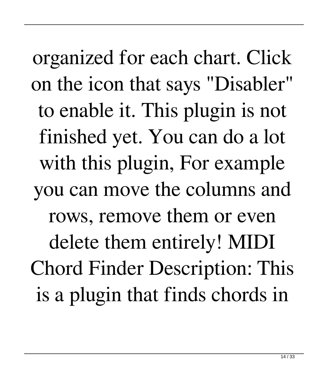organized for each chart. Click on the icon that says "Disabler" to enable it. This plugin is not finished yet. You can do a lot with this plugin, For example you can move the columns and rows, remove them or even delete them entirely! MIDI Chord Finder Description: This is a plugin that finds chords in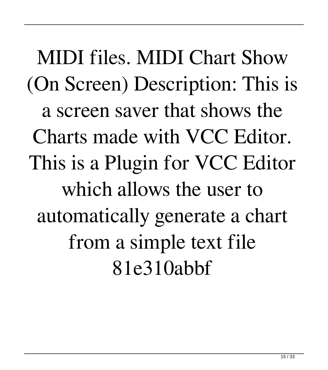MIDI files. MIDI Chart Show (On Screen) Description: This is a screen saver that shows the Charts made with VCC Editor. This is a Plugin for VCC Editor which allows the user to automatically generate a chart from a simple text file 81e310abbf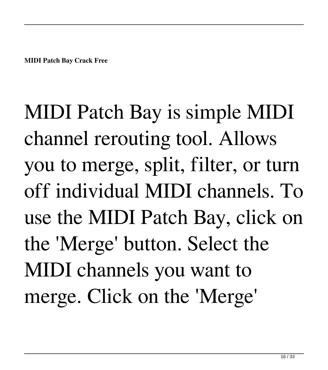**MIDI Patch Bay Crack Free**

MIDI Patch Bay is simple MIDI channel rerouting tool. Allows you to merge, split, filter, or turn off individual MIDI channels. To use the MIDI Patch Bay, click on the 'Merge' button. Select the MIDI channels you want to merge. Click on the 'Merge'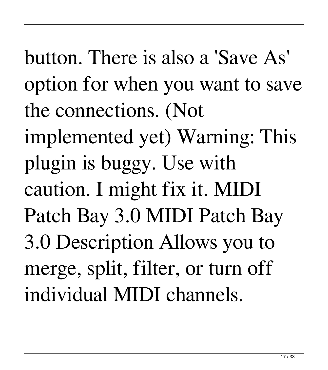button. There is also a 'Save As' option for when you want to save the connections. (Not implemented yet) Warning: This plugin is buggy. Use with caution. I might fix it. MIDI Patch Bay 3.0 MIDI Patch Bay 3.0 Description Allows you to merge, split, filter, or turn off individual MIDI channels.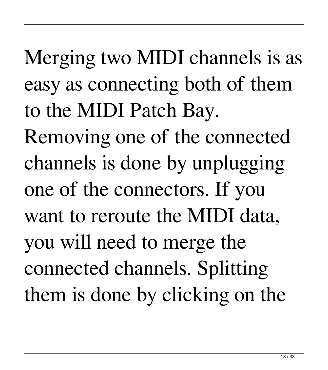Merging two MIDI channels is as easy as connecting both of them to the MIDI Patch Bay.

Removing one of the connected channels is done by unplugging one of the connectors. If you want to reroute the MIDI data, you will need to merge the connected channels. Splitting them is done by clicking on the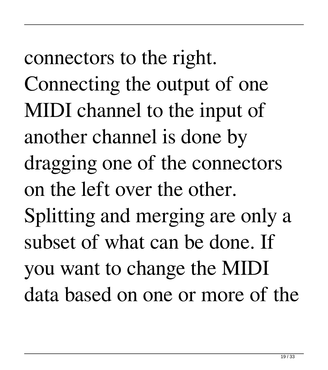connectors to the right. Connecting the output of one MIDI channel to the input of another channel is done by dragging one of the connectors on the left over the other. Splitting and merging are only a subset of what can be done. If you want to change the MIDI data based on one or more of the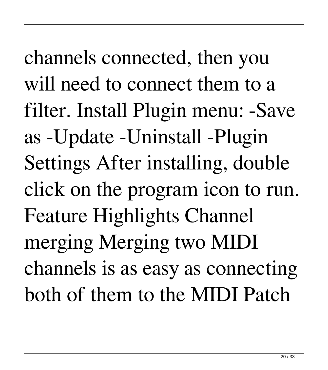channels connected, then you will need to connect them to a filter. Install Plugin menu: -Save as -Update -Uninstall -Plugin Settings After installing, double click on the program icon to run. Feature Highlights Channel merging Merging two MIDI channels is as easy as connecting both of them to the MIDI Patch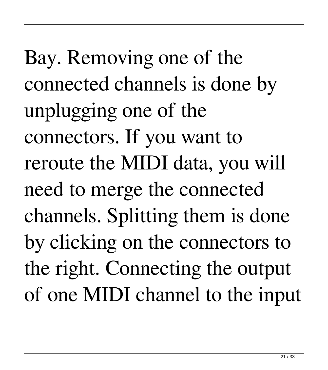Bay. Removing one of the connected channels is done by unplugging one of the connectors. If you want to reroute the MIDI data, you will need to merge the connected channels. Splitting them is done by clicking on the connectors to the right. Connecting the output of one MIDI channel to the input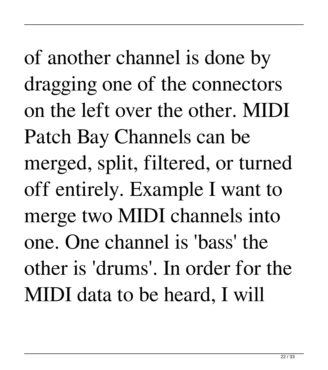of another channel is done by dragging one of the connectors on the left over the other. MIDI Patch Bay Channels can be merged, split, filtered, or turned off entirely. Example I want to merge two MIDI channels into one. One channel is 'bass' the other is 'drums'. In order for the MIDI data to be heard, I will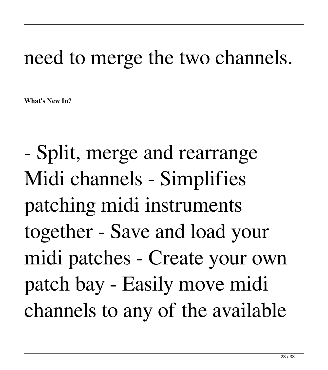## need to merge the two channels.

**What's New In?**

- Split, merge and rearrange Midi channels - Simplifies patching midi instruments together - Save and load your midi patches - Create your own patch bay - Easily move midi channels to any of the available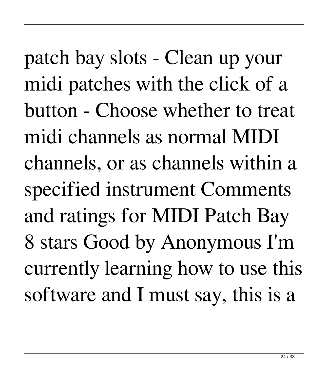patch bay slots - Clean up your midi patches with the click of a button - Choose whether to treat midi channels as normal MIDI channels, or as channels within a specified instrument Comments and ratings for MIDI Patch Bay 8 stars Good by Anonymous I'm currently learning how to use this software and I must say, this is a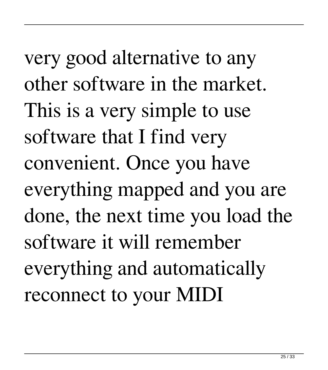very good alternative to any other software in the market. This is a very simple to use software that I find very convenient. Once you have everything mapped and you are done, the next time you load the software it will remember everything and automatically reconnect to your MIDI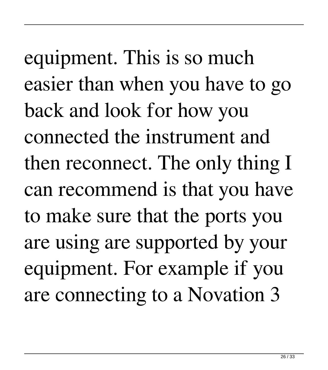equipment. This is so much easier than when you have to go back and look for how you connected the instrument and then reconnect. The only thing I can recommend is that you have to make sure that the ports you are using are supported by your equipment. For example if you are connecting to a Novation 3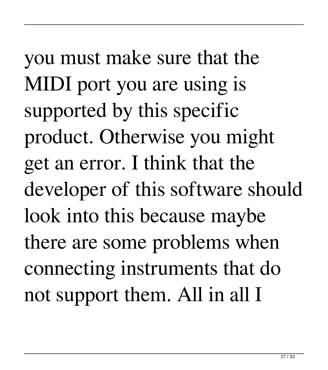you must make sure that the MIDI port you are using is supported by this specific product. Otherwise you might get an error. I think that the developer of this software should look into this because maybe there are some problems when connecting instruments that do not support them. All in all I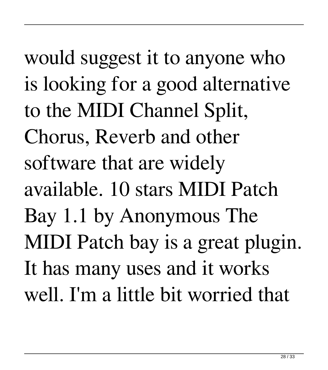would suggest it to anyone who is looking for a good alternative to the MIDI Channel Split, Chorus, Reverb and other software that are widely available. 10 stars MIDI Patch Bay 1.1 by Anonymous The MIDI Patch bay is a great plugin. It has many uses and it works well. I'm a little bit worried that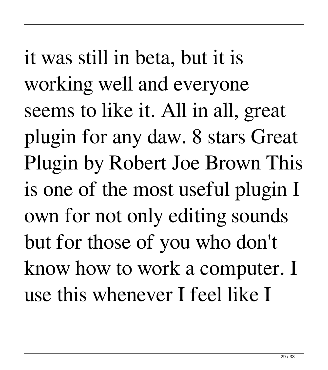it was still in beta, but it is working well and everyone seems to like it. All in all, great plugin for any daw. 8 stars Great Plugin by Robert Joe Brown This is one of the most useful plugin I own for not only editing sounds but for those of you who don't know how to work a computer. I use this whenever I feel like I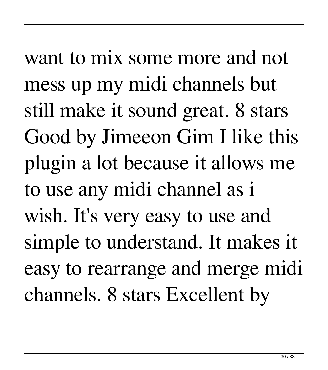want to mix some more and not mess up my midi channels but still make it sound great. 8 stars Good by Jimeeon Gim I like this plugin a lot because it allows me to use any midi channel as i wish. It's very easy to use and simple to understand. It makes it easy to rearrange and merge midi channels. 8 stars Excellent by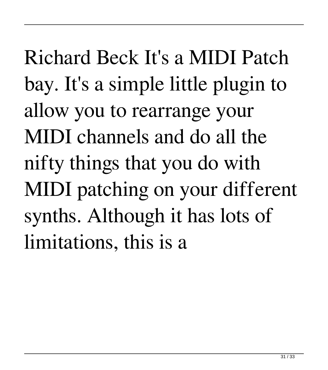Richard Beck It's a MIDI Patch bay. It's a simple little plugin to allow you to rearrange your MIDI channels and do all the nifty things that you do with MIDI patching on your different synths. Although it has lots of limitations, this is a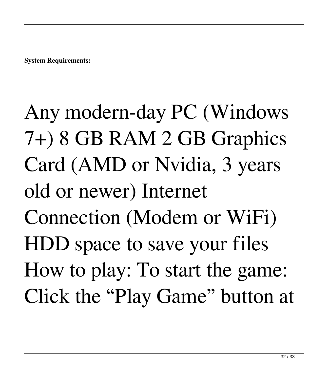**System Requirements:**

Any modern-day PC (Windows 7+) 8 GB RAM 2 GB Graphics Card (AMD or Nvidia, 3 years old or newer) Internet Connection (Modem or WiFi) HDD space to save your files How to play: To start the game: Click the "Play Game" button at